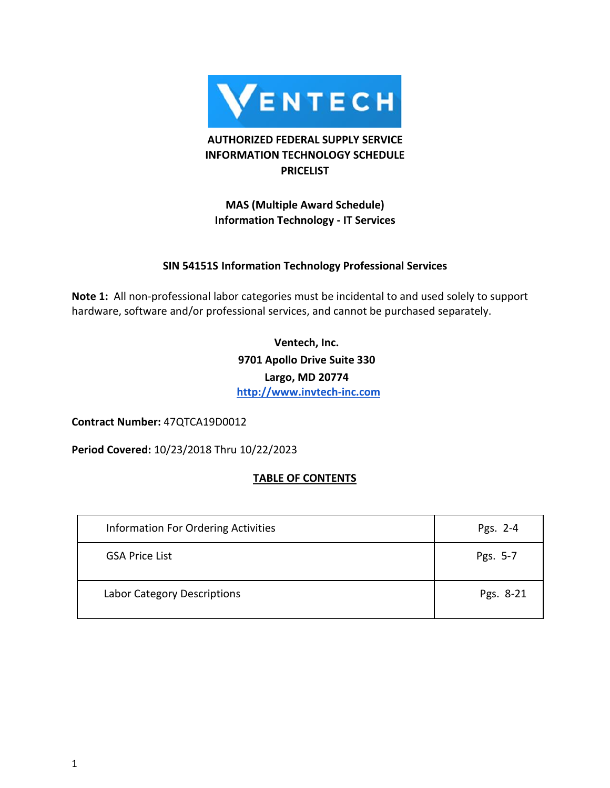

# **AUTHORIZED FEDERAL SUPPLY SERVICE INFORMATION TECHNOLOGY SCHEDULE PRICELIST**

# **MAS (Multiple Award Schedule) Information Technology - IT Services**

## **SIN 54151S Information Technology Professional Services**

**Note 1:** All non-professional labor categories must be incidental to and used solely to support hardware, software and/or professional services, and cannot be purchased separately.

> **Ventech, Inc. 9701 Apollo Drive Suite 330 Largo, MD 20774 http://www.invtech-inc.com**

**Contract Number:** 47QTCA19D0012

**Period Covered:** 10/23/2018 Thru 10/22/2023

## **TABLE OF CONTENTS**

| Information For Ordering Activities | Pgs. 2-4  |
|-------------------------------------|-----------|
| <b>GSA Price List</b>               | Pgs. 5-7  |
| Labor Category Descriptions         | Pgs. 8-21 |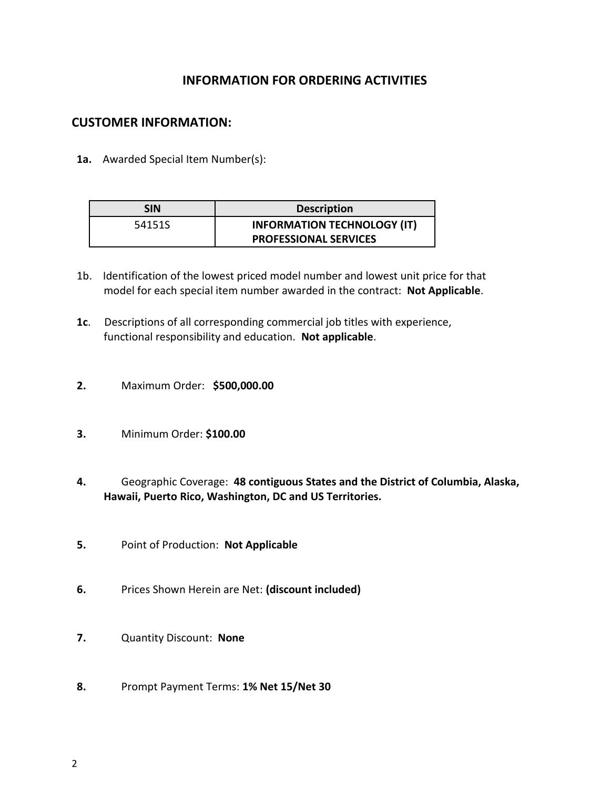# **INFORMATION FOR ORDERING ACTIVITIES**

# **CUSTOMER INFORMATION:**

**1a.** Awarded Special Item Number(s):

| <b>SIN</b> | <b>Description</b>                 |  |
|------------|------------------------------------|--|
| 541515     | <b>INFORMATION TECHNOLOGY (IT)</b> |  |
|            | <b>PROFESSIONAL SERVICES</b>       |  |

- 1b. Identification of the lowest priced model number and lowest unit price for that model for each special item number awarded in the contract: **Not Applicable**.
- **1c**. Descriptions of all corresponding commercial job titles with experience, functional responsibility and education. **Not applicable**.
- **2.** Maximum Order: **\$500,000.00**
- **3.** Minimum Order: **\$100.00**
- **4.** Geographic Coverage: **48 contiguous States and the District of Columbia, Alaska, Hawaii, Puerto Rico, Washington, DC and US Territories.**
- **5.** Point of Production: **Not Applicable**
- **6.** Prices Shown Herein are Net: **(discount included)**
- **7.** Quantity Discount: **None**
- **8.** Prompt Payment Terms: **1% Net 15/Net 30**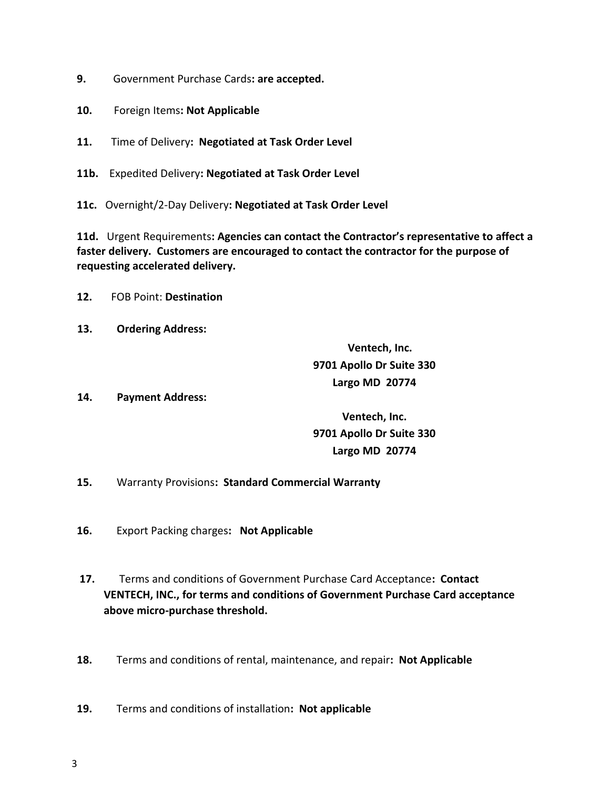- **9.** Government Purchase Cards**: are accepted.**
- **10.** Foreign Items**: Not Applicable**
- **11.** Time of Delivery**: Negotiated at Task Order Level**
- **11b.** Expedited Delivery**: Negotiated at Task Order Level**
- **11c.** Overnight/2-Day Delivery**: Negotiated at Task Order Level**

**11d.** Urgent Requirements**: Agencies can contact the Contractor's representative to affect a faster delivery. Customers are encouraged to contact the contractor for the purpose of requesting accelerated delivery.**

- **12.** FOB Point: **Destination**
- **13. Ordering Address:**

 **Ventech, Inc. 9701 Apollo Dr Suite 330 Largo MD 20774**

 **14. Payment Address:** 

**Ventech, Inc. 9701 Apollo Dr Suite 330 Largo MD 20774**

- **15.** Warranty Provisions**: Standard Commercial Warranty**
- **16.** Export Packing charges**: Not Applicable**
- **17.** Terms and conditions of Government Purchase Card Acceptance**: Contact VENTECH, INC., for terms and conditions of Government Purchase Card acceptance above micro-purchase threshold.**
- **18.** Terms and conditions of rental, maintenance, and repair**: Not Applicable**

**19.** Terms and conditions of installation**: Not applicable**

3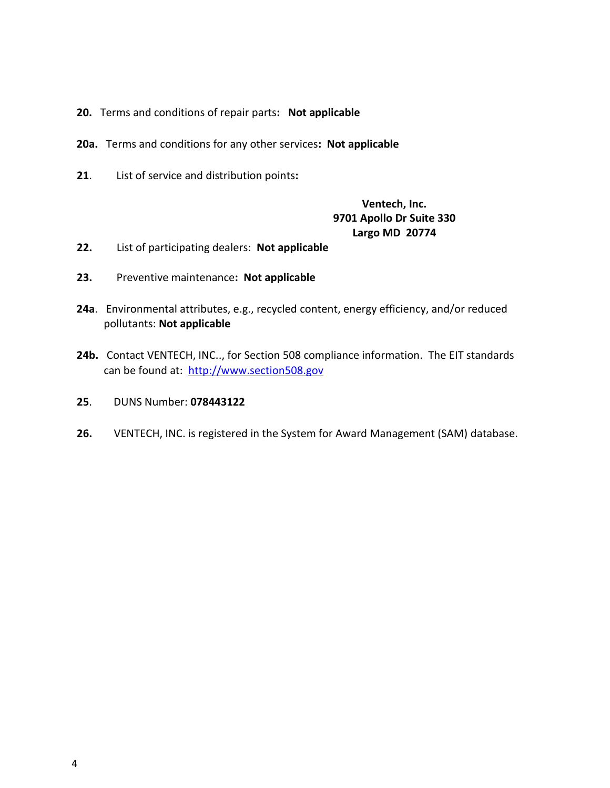- **20.** Terms and conditions of repair parts**: Not applicable**
- **20a.** Terms and conditions for any other services**: Not applicable**
- **21**. List of service and distribution points**:**

# **Ventech, Inc. 9701 Apollo Dr Suite 330 Largo MD 20774**

- **22.** List of participating dealers: **Not applicable**
- **23.** Preventive maintenance**: Not applicable**
- **24a**. Environmental attributes, e.g., recycled content, energy efficiency, and/or reduced pollutants: **Not applicable**
- **24b.** Contact VENTECH, INC.., for Section 508 compliance information. The EIT standards can be found at: [http://www.section508.gov](http://www.section508.gov/)
- **25**. DUNS Number: **078443122**
- **26.** VENTECH, INC. is registered in the System for Award Management (SAM) database.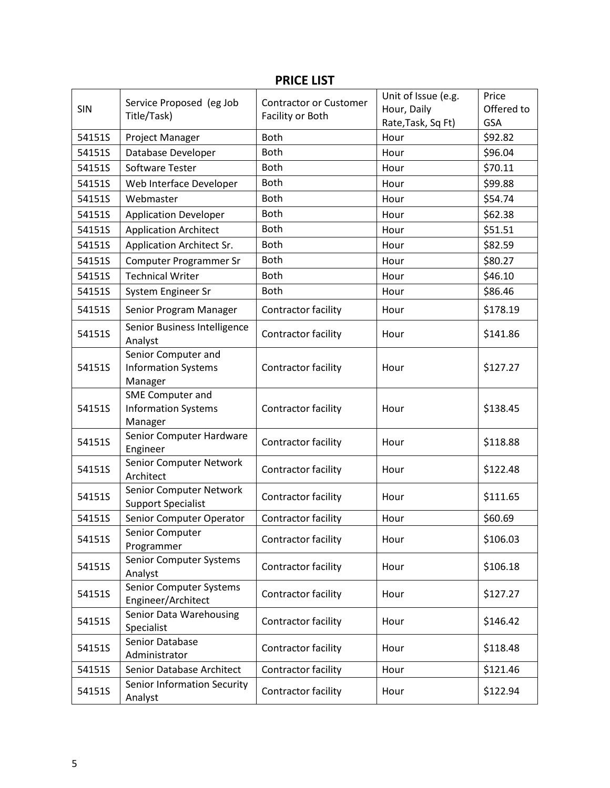| <b>SIN</b> | Service Proposed (eg Job<br>Title/Task)                          | <b>Contractor or Customer</b><br>Facility or Both | Unit of Issue (e.g.        | Price                 |
|------------|------------------------------------------------------------------|---------------------------------------------------|----------------------------|-----------------------|
|            |                                                                  |                                                   | Hour, Daily                | Offered to            |
| 54151S     | Project Manager                                                  | <b>Both</b>                                       | Rate, Task, Sq Ft)<br>Hour | <b>GSA</b><br>\$92.82 |
| 54151S     | Database Developer                                               | <b>Both</b>                                       |                            | \$96.04               |
|            |                                                                  | <b>Both</b>                                       | Hour                       |                       |
| 54151S     | <b>Software Tester</b>                                           |                                                   | Hour                       | \$70.11               |
| 54151S     | Web Interface Developer                                          | <b>Both</b>                                       | Hour                       | \$99.88               |
| 54151S     | Webmaster                                                        | <b>Both</b>                                       | Hour                       | \$54.74               |
| 54151S     | <b>Application Developer</b>                                     | <b>Both</b>                                       | Hour                       | \$62.38               |
| 54151S     | <b>Application Architect</b>                                     | <b>Both</b>                                       | Hour                       | \$51.51               |
| 54151S     | Application Architect Sr.                                        | <b>Both</b>                                       | Hour                       | \$82.59               |
| 54151S     | Computer Programmer Sr                                           | <b>Both</b>                                       | Hour                       | \$80.27               |
| 54151S     | <b>Technical Writer</b>                                          | <b>Both</b>                                       | Hour                       | \$46.10               |
| 54151S     | System Engineer Sr                                               | <b>Both</b>                                       | Hour                       | \$86.46               |
| 54151S     | Senior Program Manager                                           | Contractor facility                               | Hour                       | \$178.19              |
| 54151S     | Senior Business Intelligence<br>Analyst                          | Contractor facility                               | Hour                       | \$141.86              |
| 54151S     | Senior Computer and<br><b>Information Systems</b><br>Manager     | Contractor facility                               | Hour                       | \$127.27              |
| 54151S     | <b>SME Computer and</b><br><b>Information Systems</b><br>Manager | Contractor facility                               | Hour                       | \$138.45              |
| 54151S     | Senior Computer Hardware<br>Engineer                             | Contractor facility                               | Hour                       | \$118.88              |
| 54151S     | Senior Computer Network<br>Architect                             | Contractor facility                               | Hour                       | \$122.48              |
| 54151S     | Senior Computer Network<br><b>Support Specialist</b>             | Contractor facility                               | Hour                       | \$111.65              |
| 54151S     | Senior Computer Operator                                         | Contractor facility                               | Hour                       | \$60.69               |
| 54151S     | Senior Computer<br>Programmer                                    | Contractor facility                               | Hour                       | \$106.03              |
| 54151S     | Senior Computer Systems<br>Analyst                               | Contractor facility                               | Hour                       | \$106.18              |
| 54151S     | Senior Computer Systems<br>Engineer/Architect                    | Contractor facility                               | Hour                       | \$127.27              |
| 54151S     | Senior Data Warehousing<br>Specialist                            | Contractor facility                               | Hour                       | \$146.42              |
| 54151S     | Senior Database<br>Administrator                                 | Contractor facility                               | Hour                       | \$118.48              |
| 54151S     | Senior Database Architect                                        | Contractor facility                               | Hour                       | \$121.46              |
| 54151S     | Senior Information Security<br>Analyst                           | Contractor facility                               | Hour                       | \$122.94              |

# **PRICE LIST**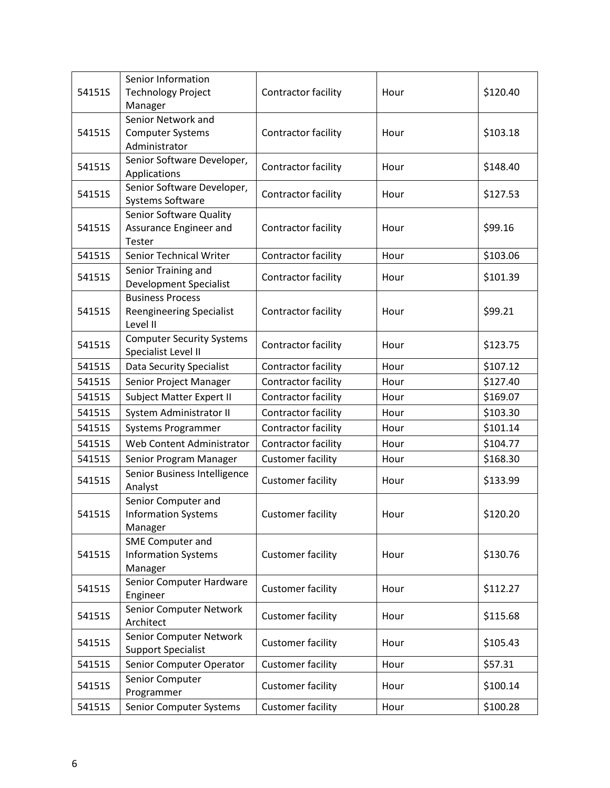|        | Senior Information                                      |                          |      |          |
|--------|---------------------------------------------------------|--------------------------|------|----------|
| 54151S | <b>Technology Project</b>                               | Contractor facility      | Hour | \$120.40 |
|        | Manager<br>Senior Network and                           |                          |      |          |
| 54151S | <b>Computer Systems</b>                                 | Contractor facility      | Hour | \$103.18 |
|        | Administrator                                           |                          |      |          |
|        | Senior Software Developer,                              |                          |      | \$148.40 |
| 54151S | Applications                                            | Contractor facility      | Hour |          |
| 54151S | Senior Software Developer,                              | Contractor facility      | Hour | \$127.53 |
|        | Systems Software                                        |                          |      |          |
| 54151S | Senior Software Quality                                 |                          | Hour | \$99.16  |
|        | Assurance Engineer and<br>Tester                        | Contractor facility      |      |          |
| 54151S | Senior Technical Writer                                 | Contractor facility      | Hour | \$103.06 |
|        | Senior Training and                                     |                          |      |          |
| 54151S | <b>Development Specialist</b>                           | Contractor facility      | Hour | \$101.39 |
|        | <b>Business Process</b>                                 |                          |      |          |
| 54151S | <b>Reengineering Specialist</b>                         | Contractor facility      | Hour | \$99.21  |
|        | Level II                                                |                          |      |          |
| 54151S | <b>Computer Security Systems</b><br>Specialist Level II | Contractor facility      | Hour | \$123.75 |
| 54151S | <b>Data Security Specialist</b>                         | Contractor facility      | Hour | \$107.12 |
| 54151S | Senior Project Manager                                  | Contractor facility      | Hour | \$127.40 |
| 54151S | Subject Matter Expert II                                | Contractor facility      | Hour | \$169.07 |
| 54151S | System Administrator II                                 | Contractor facility      | Hour | \$103.30 |
| 54151S | Systems Programmer                                      | Contractor facility      | Hour | \$101.14 |
| 54151S | Web Content Administrator                               | Contractor facility      | Hour | \$104.77 |
| 54151S | Senior Program Manager                                  | <b>Customer facility</b> | Hour | \$168.30 |
|        | Senior Business Intelligence                            |                          |      |          |
| 54151S | Analyst                                                 | <b>Customer facility</b> | Hour | \$133.99 |
|        | Senior Computer and                                     |                          |      |          |
| 54151S | <b>Information Systems</b>                              | <b>Customer facility</b> | Hour | \$120.20 |
|        | Manager                                                 |                          |      |          |
| 54151S | SME Computer and<br><b>Information Systems</b>          | <b>Customer facility</b> | Hour | \$130.76 |
|        | Manager                                                 |                          |      |          |
|        | Senior Computer Hardware                                |                          |      |          |
| 54151S | Engineer                                                | <b>Customer facility</b> | Hour | \$112.27 |
| 54151S | Senior Computer Network                                 | <b>Customer facility</b> | Hour | \$115.68 |
|        | Architect                                               |                          |      |          |
| 54151S | Senior Computer Network                                 | <b>Customer facility</b> | Hour | \$105.43 |
| 54151S | <b>Support Specialist</b>                               |                          | Hour | \$57.31  |
|        | Senior Computer Operator<br>Senior Computer             | <b>Customer facility</b> |      |          |
| 54151S | Programmer                                              | <b>Customer facility</b> | Hour | \$100.14 |
| 54151S | Senior Computer Systems                                 | <b>Customer facility</b> | Hour | \$100.28 |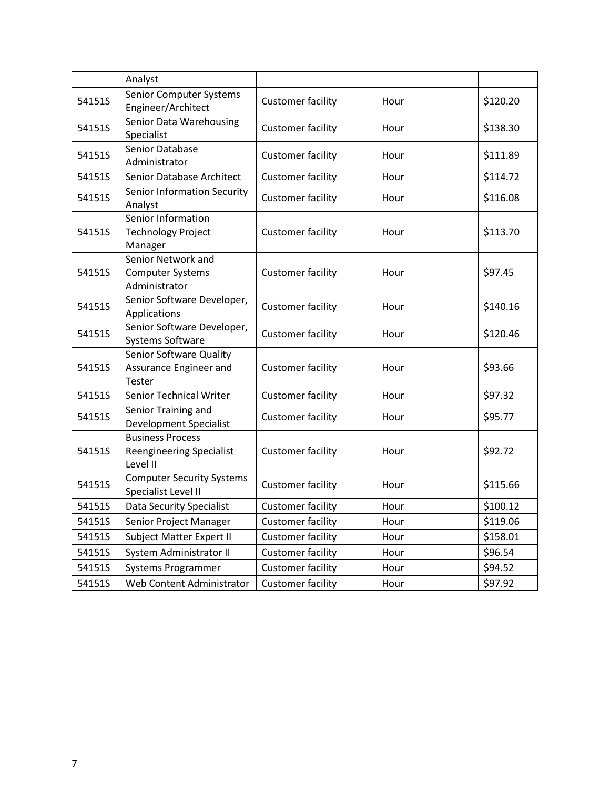|        | Analyst                                                                |                          |      |          |
|--------|------------------------------------------------------------------------|--------------------------|------|----------|
| 54151S | Senior Computer Systems<br>Engineer/Architect                          | <b>Customer facility</b> | Hour | \$120.20 |
| 54151S | Senior Data Warehousing<br>Specialist                                  | <b>Customer facility</b> | Hour | \$138.30 |
| 54151S | Senior Database<br>Administrator                                       | <b>Customer facility</b> | Hour | \$111.89 |
| 54151S | Senior Database Architect                                              | <b>Customer facility</b> | Hour | \$114.72 |
| 54151S | <b>Senior Information Security</b><br>Analyst                          | <b>Customer facility</b> | Hour | \$116.08 |
| 54151S | Senior Information<br><b>Technology Project</b><br>Manager             | <b>Customer facility</b> | Hour | \$113.70 |
| 54151S | Senior Network and<br><b>Computer Systems</b><br>Administrator         | <b>Customer facility</b> | Hour | \$97.45  |
| 54151S | Senior Software Developer,<br>Applications                             | <b>Customer facility</b> | Hour | \$140.16 |
| 54151S | Senior Software Developer,<br>Systems Software                         | <b>Customer facility</b> | Hour | \$120.46 |
| 54151S | Senior Software Quality<br>Assurance Engineer and<br>Tester            | <b>Customer facility</b> | Hour | \$93.66  |
| 54151S | Senior Technical Writer                                                | <b>Customer facility</b> | Hour | \$97.32  |
| 54151S | Senior Training and<br><b>Development Specialist</b>                   | <b>Customer facility</b> | Hour | \$95.77  |
| 54151S | <b>Business Process</b><br><b>Reengineering Specialist</b><br>Level II | <b>Customer facility</b> | Hour | \$92.72  |
| 54151S | <b>Computer Security Systems</b><br>Specialist Level II                | <b>Customer facility</b> | Hour | \$115.66 |
| 54151S | <b>Data Security Specialist</b>                                        | <b>Customer facility</b> | Hour | \$100.12 |
| 54151S | Senior Project Manager                                                 | <b>Customer facility</b> | Hour | \$119.06 |
| 54151S | Subject Matter Expert II                                               | <b>Customer facility</b> | Hour | \$158.01 |
| 54151S | System Administrator II                                                | <b>Customer facility</b> | Hour | \$96.54  |
| 54151S | <b>Systems Programmer</b>                                              | <b>Customer facility</b> | Hour | \$94.52  |
| 54151S | Web Content Administrator                                              | <b>Customer facility</b> | Hour | \$97.92  |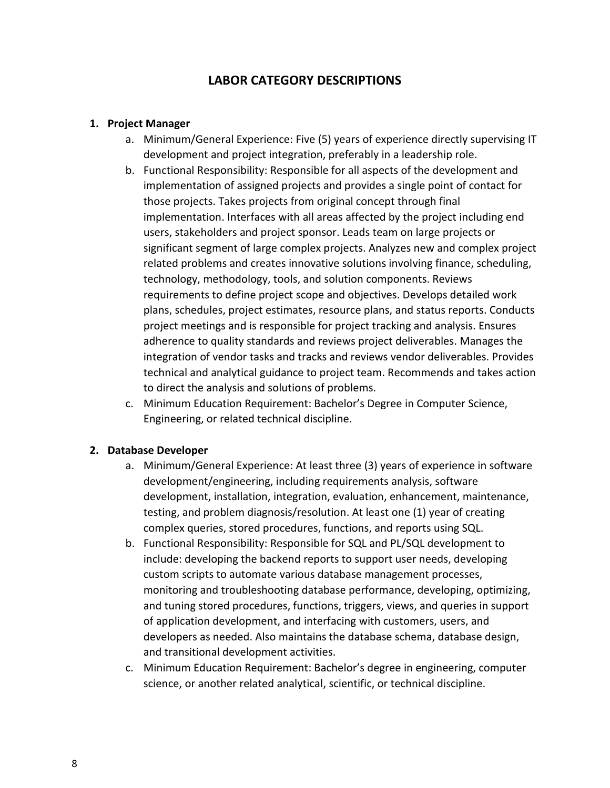# **LABOR CATEGORY DESCRIPTIONS**

### **1. Project Manager**

- a. Minimum/General Experience: Five (5) years of experience directly supervising IT development and project integration, preferably in a leadership role.
- b. Functional Responsibility: Responsible for all aspects of the development and implementation of assigned projects and provides a single point of contact for those projects. Takes projects from original concept through final implementation. Interfaces with all areas affected by the project including end users, stakeholders and project sponsor. Leads team on large projects or significant segment of large complex projects. Analyzes new and complex project related problems and creates innovative solutions involving finance, scheduling, technology, methodology, tools, and solution components. Reviews requirements to define project scope and objectives. Develops detailed work plans, schedules, project estimates, resource plans, and status reports. Conducts project meetings and is responsible for project tracking and analysis. Ensures adherence to quality standards and reviews project deliverables. Manages the integration of vendor tasks and tracks and reviews vendor deliverables. Provides technical and analytical guidance to project team. Recommends and takes action to direct the analysis and solutions of problems.
- c. Minimum Education Requirement: Bachelor's Degree in Computer Science, Engineering, or related technical discipline.

#### **2. Database Developer**

- a. Minimum/General Experience: At least three (3) years of experience in software development/engineering, including requirements analysis, software development, installation, integration, evaluation, enhancement, maintenance, testing, and problem diagnosis/resolution. At least one (1) year of creating complex queries, stored procedures, functions, and reports using SQL.
- b. Functional Responsibility: Responsible for SQL and PL/SQL development to include: developing the backend reports to support user needs, developing custom scripts to automate various database management processes, monitoring and troubleshooting database performance, developing, optimizing, and tuning stored procedures, functions, triggers, views, and queries in support of application development, and interfacing with customers, users, and developers as needed. Also maintains the database schema, database design, and transitional development activities.
- c. Minimum Education Requirement: Bachelor's degree in engineering, computer science, or another related analytical, scientific, or technical discipline.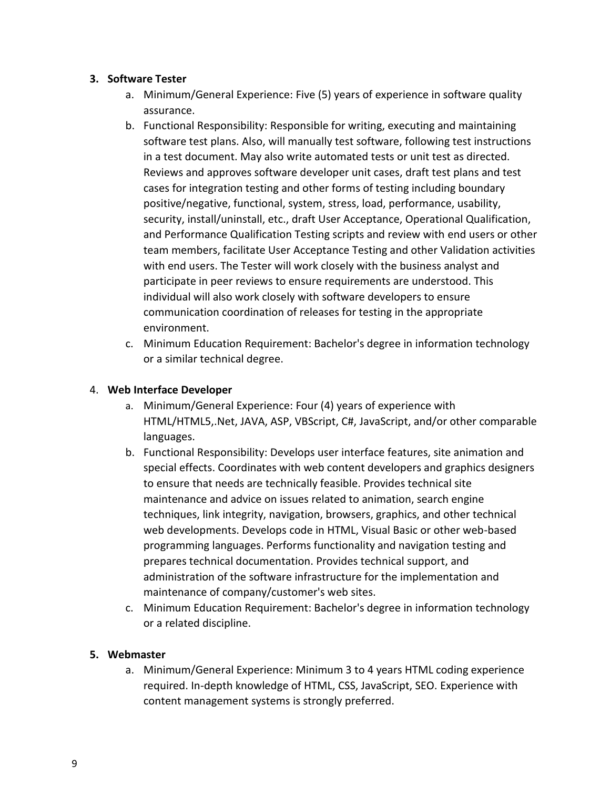### **3. Software Tester**

- a. Minimum/General Experience: Five (5) years of experience in software quality assurance.
- b. Functional Responsibility: Responsible for writing, executing and maintaining software test plans. Also, will manually test software, following test instructions in a test document. May also write automated tests or unit test as directed. Reviews and approves software developer unit cases, draft test plans and test cases for integration testing and other forms of testing including boundary positive/negative, functional, system, stress, load, performance, usability, security, install/uninstall, etc., draft User Acceptance, Operational Qualification, and Performance Qualification Testing scripts and review with end users or other team members, facilitate User Acceptance Testing and other Validation activities with end users. The Tester will work closely with the business analyst and participate in peer reviews to ensure requirements are understood. This individual will also work closely with software developers to ensure communication coordination of releases for testing in the appropriate environment.
- c. Minimum Education Requirement: Bachelor's degree in information technology or a similar technical degree.

## 4. **Web Interface Developer**

- a. Minimum/General Experience: Four (4) years of experience with HTML/HTML5,.Net, JAVA, ASP, VBScript, C#, JavaScript, and/or other comparable languages.
- b. Functional Responsibility: Develops user interface features, site animation and special effects. Coordinates with web content developers and graphics designers to ensure that needs are technically feasible. Provides technical site maintenance and advice on issues related to animation, search engine techniques, link integrity, navigation, browsers, graphics, and other technical web developments. Develops code in HTML, Visual Basic or other web-based programming languages. Performs functionality and navigation testing and prepares technical documentation. Provides technical support, and administration of the software infrastructure for the implementation and maintenance of company/customer's web sites.
- c. Minimum Education Requirement: Bachelor's degree in information technology or a related discipline.

#### **5. Webmaster**

a. Minimum/General Experience: Minimum 3 to 4 years HTML coding experience required. In-depth knowledge of HTML, CSS, JavaScript, SEO. Experience with content management systems is strongly preferred.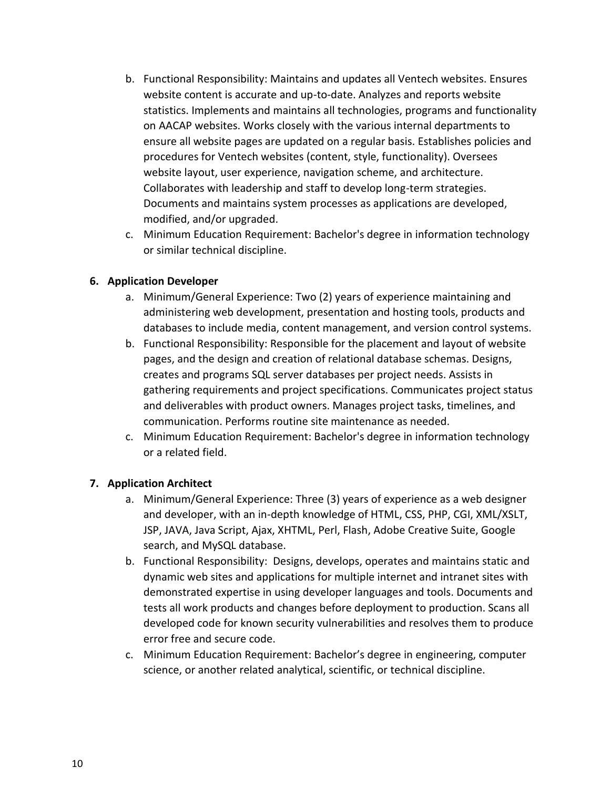- b. Functional Responsibility: Maintains and updates all Ventech websites. Ensures website content is accurate and up-to-date. Analyzes and reports website statistics. Implements and maintains all technologies, programs and functionality on AACAP websites. Works closely with the various internal departments to ensure all website pages are updated on a regular basis. Establishes policies and procedures for Ventech websites (content, style, functionality). Oversees website layout, user experience, navigation scheme, and architecture. Collaborates with leadership and staff to develop long-term strategies. Documents and maintains system processes as applications are developed, modified, and/or upgraded.
- c. Minimum Education Requirement: Bachelor's degree in information technology or similar technical discipline.

### **6. Application Developer**

- a. Minimum/General Experience: Two (2) years of experience maintaining and administering web development, presentation and hosting tools, products and databases to include media, content management, and version control systems.
- b. Functional Responsibility: Responsible for the placement and layout of website pages, and the design and creation of relational database schemas. Designs, creates and programs SQL server databases per project needs. Assists in gathering requirements and project specifications. Communicates project status and deliverables with product owners. Manages project tasks, timelines, and communication. Performs routine site maintenance as needed.
- c. Minimum Education Requirement: Bachelor's degree in information technology or a related field.

## **7. Application Architect**

- a. Minimum/General Experience: Three (3) years of experience as a web designer and developer, with an in-depth knowledge of HTML, CSS, PHP, CGI, XML/XSLT, JSP, JAVA, Java Script, Ajax, XHTML, Perl, Flash, Adobe Creative Suite, Google search, and MySQL database.
- b. Functional Responsibility: Designs, develops, operates and maintains static and dynamic web sites and applications for multiple internet and intranet sites with demonstrated expertise in using developer languages and tools. Documents and tests all work products and changes before deployment to production. Scans all developed code for known security vulnerabilities and resolves them to produce error free and secure code.
- c. Minimum Education Requirement: Bachelor's degree in engineering, computer science, or another related analytical, scientific, or technical discipline.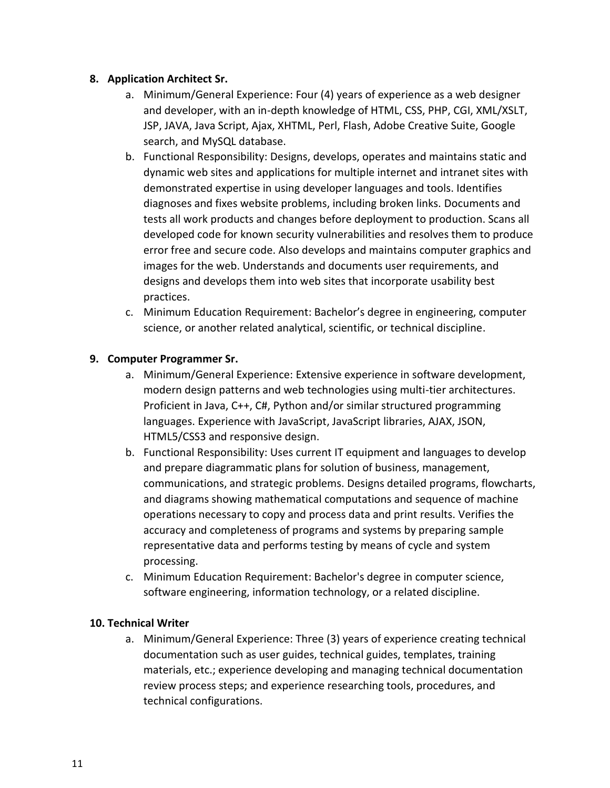## **8. Application Architect Sr.**

- a. Minimum/General Experience: Four (4) years of experience as a web designer and developer, with an in-depth knowledge of HTML, CSS, PHP, CGI, XML/XSLT, JSP, JAVA, Java Script, Ajax, XHTML, Perl, Flash, Adobe Creative Suite, Google search, and MySQL database.
- b. Functional Responsibility: Designs, develops, operates and maintains static and dynamic web sites and applications for multiple internet and intranet sites with demonstrated expertise in using developer languages and tools. Identifies diagnoses and fixes website problems, including broken links. Documents and tests all work products and changes before deployment to production. Scans all developed code for known security vulnerabilities and resolves them to produce error free and secure code. Also develops and maintains computer graphics and images for the web. Understands and documents user requirements, and designs and develops them into web sites that incorporate usability best practices.
- c. Minimum Education Requirement: Bachelor's degree in engineering, computer science, or another related analytical, scientific, or technical discipline.

# **9. Computer Programmer Sr.**

- a. Minimum/General Experience: Extensive experience in software development, modern design patterns and web technologies using multi-tier architectures. Proficient in Java, C++, C#, Python and/or similar structured programming languages. Experience with JavaScript, JavaScript libraries, AJAX, JSON, HTML5/CSS3 and responsive design.
- b. Functional Responsibility: Uses current IT equipment and languages to develop and prepare diagrammatic plans for solution of business, management, communications, and strategic problems. Designs detailed programs, flowcharts, and diagrams showing mathematical computations and sequence of machine operations necessary to copy and process data and print results. Verifies the accuracy and completeness of programs and systems by preparing sample representative data and performs testing by means of cycle and system processing.
- c. Minimum Education Requirement: Bachelor's degree in computer science, software engineering, information technology, or a related discipline.

## **10. Technical Writer**

a. Minimum/General Experience: Three (3) years of experience creating technical documentation such as user guides, technical guides, templates, training materials, etc.; experience developing and managing technical documentation review process steps; and experience researching tools, procedures, and technical configurations.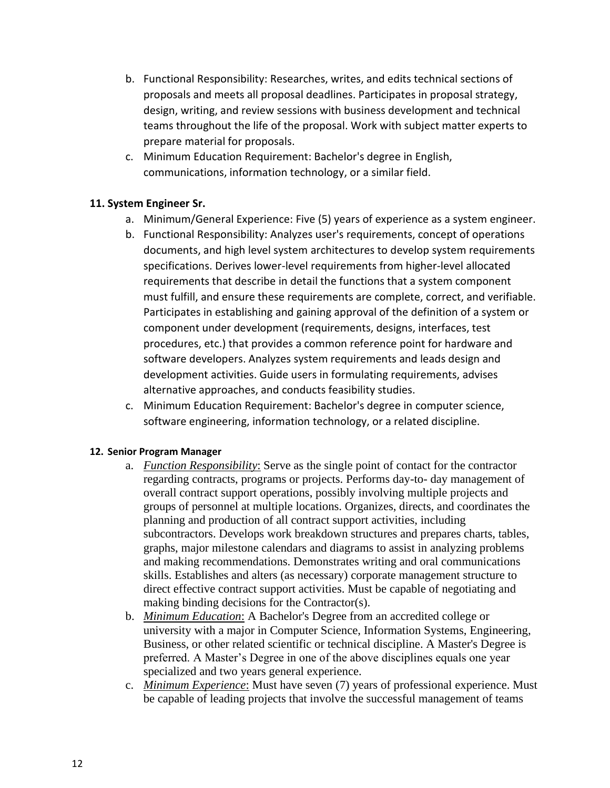- b. Functional Responsibility: Researches, writes, and edits technical sections of proposals and meets all proposal deadlines. Participates in proposal strategy, design, writing, and review sessions with business development and technical teams throughout the life of the proposal. Work with subject matter experts to prepare material for proposals.
- c. Minimum Education Requirement: Bachelor's degree in English, communications, information technology, or a similar field.

## **11. System Engineer Sr.**

- a. Minimum/General Experience: Five (5) years of experience as a system engineer.
- b. Functional Responsibility: Analyzes user's requirements, concept of operations documents, and high level system architectures to develop system requirements specifications. Derives lower-level requirements from higher-level allocated requirements that describe in detail the functions that a system component must fulfill, and ensure these requirements are complete, correct, and verifiable. Participates in establishing and gaining approval of the definition of a system or component under development (requirements, designs, interfaces, test procedures, etc.) that provides a common reference point for hardware and software developers. Analyzes system requirements and leads design and development activities. Guide users in formulating requirements, advises alternative approaches, and conducts feasibility studies.
- c. Minimum Education Requirement: Bachelor's degree in computer science, software engineering, information technology, or a related discipline.

## **12. Senior Program Manager**

- a. *Function Responsibility*: Serve as the single point of contact for the contractor regarding contracts, programs or projects. Performs day-to- day management of overall contract support operations, possibly involving multiple projects and groups of personnel at multiple locations. Organizes, directs, and coordinates the planning and production of all contract support activities, including subcontractors. Develops work breakdown structures and prepares charts, tables, graphs, major milestone calendars and diagrams to assist in analyzing problems and making recommendations. Demonstrates writing and oral communications skills. Establishes and alters (as necessary) corporate management structure to direct effective contract support activities. Must be capable of negotiating and making binding decisions for the Contractor(s).
- b. *Minimum Education*: A Bachelor's Degree from an accredited college or university with a major in Computer Science, Information Systems, Engineering, Business, or other related scientific or technical discipline. A Master's Degree is preferred. A Master's Degree in one of the above disciplines equals one year specialized and two years general experience.
- c. *Minimum Experience*: Must have seven (7) years of professional experience. Must be capable of leading projects that involve the successful management of teams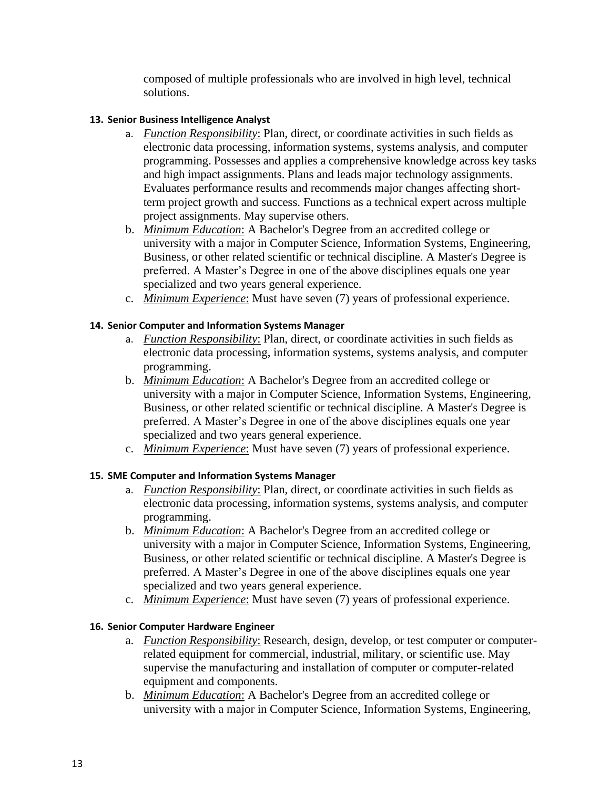composed of multiple professionals who are involved in high level, technical solutions.

### **13. Senior Business Intelligence Analyst**

- a. *Function Responsibility*: Plan, direct, or coordinate activities in such fields as electronic data processing, information systems, systems analysis, and computer programming. Possesses and applies a comprehensive knowledge across key tasks and high impact assignments. Plans and leads major technology assignments. Evaluates performance results and recommends major changes affecting shortterm project growth and success. Functions as a technical expert across multiple project assignments. May supervise others.
- b. *Minimum Education*: A Bachelor's Degree from an accredited college or university with a major in Computer Science, Information Systems, Engineering, Business, or other related scientific or technical discipline. A Master's Degree is preferred. A Master's Degree in one of the above disciplines equals one year specialized and two years general experience.
- c. *Minimum Experience*: Must have seven (7) years of professional experience.

### **14. Senior Computer and Information Systems Manager**

- a. *Function Responsibility*: Plan, direct, or coordinate activities in such fields as electronic data processing, information systems, systems analysis, and computer programming.
- b. *Minimum Education*: A Bachelor's Degree from an accredited college or university with a major in Computer Science, Information Systems, Engineering, Business, or other related scientific or technical discipline. A Master's Degree is preferred. A Master's Degree in one of the above disciplines equals one year specialized and two years general experience.
- c. *Minimum Experience*: Must have seven (7) years of professional experience.

## **15. SME Computer and Information Systems Manager**

- a. *Function Responsibility*: Plan, direct, or coordinate activities in such fields as electronic data processing, information systems, systems analysis, and computer programming.
- b. *Minimum Education*: A Bachelor's Degree from an accredited college or university with a major in Computer Science, Information Systems, Engineering, Business, or other related scientific or technical discipline. A Master's Degree is preferred. A Master's Degree in one of the above disciplines equals one year specialized and two years general experience.
- c. *Minimum Experience*: Must have seven (7) years of professional experience.

### **16. Senior Computer Hardware Engineer**

- a. *Function Responsibility*: Research, design, develop, or test computer or computerrelated equipment for commercial, industrial, military, or scientific use. May supervise the manufacturing and installation of computer or computer-related equipment and components.
- b. *Minimum Education*: A Bachelor's Degree from an accredited college or university with a major in Computer Science, Information Systems, Engineering,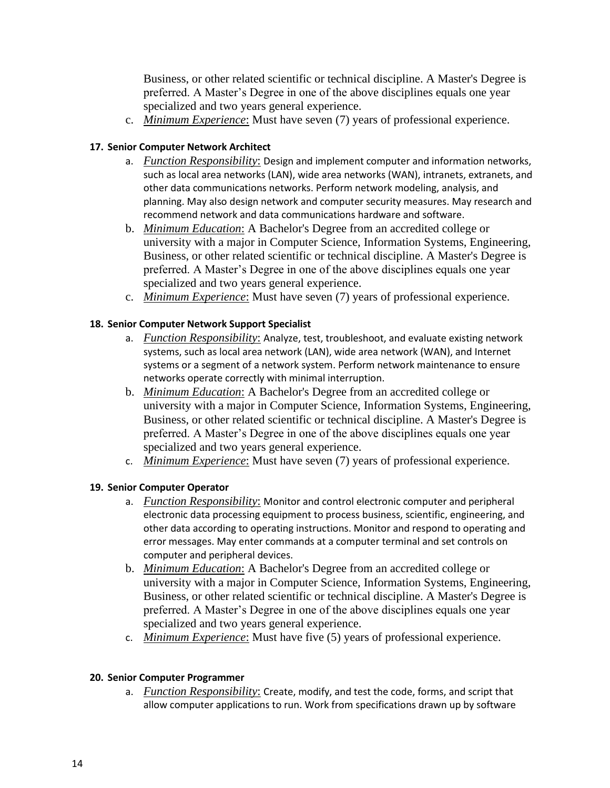Business, or other related scientific or technical discipline. A Master's Degree is preferred. A Master's Degree in one of the above disciplines equals one year specialized and two years general experience.

c. *Minimum Experience*: Must have seven (7) years of professional experience.

### **17. Senior Computer Network Architect**

- a. *Function Responsibility*: Design and implement computer and information networks, such as local area networks (LAN), wide area networks (WAN), intranets, extranets, and other data communications networks. Perform network modeling, analysis, and planning. May also design network and computer security measures. May research and recommend network and data communications hardware and software.
- b. *Minimum Education*: A Bachelor's Degree from an accredited college or university with a major in Computer Science, Information Systems, Engineering, Business, or other related scientific or technical discipline. A Master's Degree is preferred. A Master's Degree in one of the above disciplines equals one year specialized and two years general experience.
- c. *Minimum Experience*: Must have seven (7) years of professional experience.

### **18. Senior Computer Network Support Specialist**

- a. *Function Responsibility*: Analyze, test, troubleshoot, and evaluate existing network systems, such as local area network (LAN), wide area network (WAN), and Internet systems or a segment of a network system. Perform network maintenance to ensure networks operate correctly with minimal interruption.
- b. *Minimum Education*: A Bachelor's Degree from an accredited college or university with a major in Computer Science, Information Systems, Engineering, Business, or other related scientific or technical discipline. A Master's Degree is preferred. A Master's Degree in one of the above disciplines equals one year specialized and two years general experience.
- c. *Minimum Experience*: Must have seven (7) years of professional experience.

#### **19. Senior Computer Operator**

- a. *Function Responsibility*: Monitor and control electronic computer and peripheral electronic data processing equipment to process business, scientific, engineering, and other data according to operating instructions. Monitor and respond to operating and error messages. May enter commands at a computer terminal and set controls on computer and peripheral devices.
- b. *Minimum Education*: A Bachelor's Degree from an accredited college or university with a major in Computer Science, Information Systems, Engineering, Business, or other related scientific or technical discipline. A Master's Degree is preferred. A Master's Degree in one of the above disciplines equals one year specialized and two years general experience.
- c. *Minimum Experience*: Must have five (5) years of professional experience.

#### **20. Senior Computer Programmer**

a. *Function Responsibility*: Create, modify, and test the code, forms, and script that allow computer applications to run. Work from specifications drawn up by software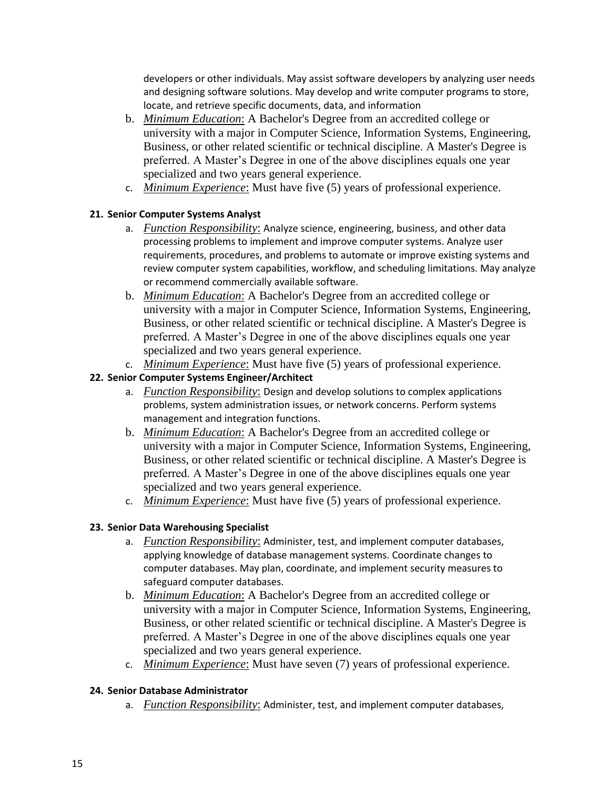developers or other individuals. May assist software developers by analyzing user needs and designing software solutions. May develop and write computer programs to store, locate, and retrieve specific documents, data, and information

- b. *Minimum Education*: A Bachelor's Degree from an accredited college or university with a major in Computer Science, Information Systems, Engineering, Business, or other related scientific or technical discipline. A Master's Degree is preferred. A Master's Degree in one of the above disciplines equals one year specialized and two years general experience.
- c. *Minimum Experience*: Must have five (5) years of professional experience.

# **21. Senior Computer Systems Analyst**

- a. *Function Responsibility*: Analyze science, engineering, business, and other data processing problems to implement and improve computer systems. Analyze user requirements, procedures, and problems to automate or improve existing systems and review computer system capabilities, workflow, and scheduling limitations. May analyze or recommend commercially available software.
- b. *Minimum Education*: A Bachelor's Degree from an accredited college or university with a major in Computer Science, Information Systems, Engineering, Business, or other related scientific or technical discipline. A Master's Degree is preferred. A Master's Degree in one of the above disciplines equals one year specialized and two years general experience.
- c. *Minimum Experience*: Must have five (5) years of professional experience.

# **22. Senior Computer Systems Engineer/Architect**

- a. *Function Responsibility*: Design and develop solutions to complex applications problems, system administration issues, or network concerns. Perform systems management and integration functions.
- b. *Minimum Education*: A Bachelor's Degree from an accredited college or university with a major in Computer Science, Information Systems, Engineering, Business, or other related scientific or technical discipline. A Master's Degree is preferred. A Master's Degree in one of the above disciplines equals one year specialized and two years general experience.
- c. *Minimum Experience*: Must have five (5) years of professional experience.

## **23. Senior Data Warehousing Specialist**

- a. *Function Responsibility*: Administer, test, and implement computer databases, applying knowledge of database management systems. Coordinate changes to computer databases. May plan, coordinate, and implement security measures to safeguard computer databases.
- b. *Minimum Education*: A Bachelor's Degree from an accredited college or university with a major in Computer Science, Information Systems, Engineering, Business, or other related scientific or technical discipline. A Master's Degree is preferred. A Master's Degree in one of the above disciplines equals one year specialized and two years general experience.
- c. *Minimum Experience*: Must have seven (7) years of professional experience.

## **24. Senior Database Administrator**

a. *Function Responsibility*: Administer, test, and implement computer databases,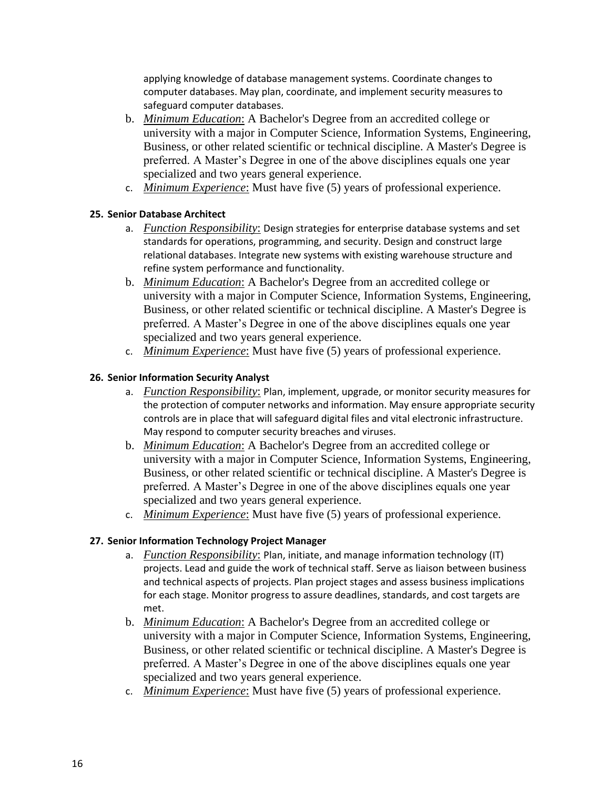applying knowledge of database management systems. Coordinate changes to computer databases. May plan, coordinate, and implement security measures to safeguard computer databases.

- b. *Minimum Education*: A Bachelor's Degree from an accredited college or university with a major in Computer Science, Information Systems, Engineering, Business, or other related scientific or technical discipline. A Master's Degree is preferred. A Master's Degree in one of the above disciplines equals one year specialized and two years general experience.
- c. *Minimum Experience*: Must have five (5) years of professional experience.

## **25. Senior Database Architect**

- a. *Function Responsibility*: Design strategies for enterprise database systems and set standards for operations, programming, and security. Design and construct large relational databases. Integrate new systems with existing warehouse structure and refine system performance and functionality.
- b. *Minimum Education*: A Bachelor's Degree from an accredited college or university with a major in Computer Science, Information Systems, Engineering, Business, or other related scientific or technical discipline. A Master's Degree is preferred. A Master's Degree in one of the above disciplines equals one year specialized and two years general experience.
- c. *Minimum Experience*: Must have five (5) years of professional experience.

### **26. Senior Information Security Analyst**

- a. *Function Responsibility*: Plan, implement, upgrade, or monitor security measures for the protection of computer networks and information. May ensure appropriate security controls are in place that will safeguard digital files and vital electronic infrastructure. May respond to computer security breaches and viruses.
- b. *Minimum Education*: A Bachelor's Degree from an accredited college or university with a major in Computer Science, Information Systems, Engineering, Business, or other related scientific or technical discipline. A Master's Degree is preferred. A Master's Degree in one of the above disciplines equals one year specialized and two years general experience.
- c. *Minimum Experience*: Must have five (5) years of professional experience.

## **27. Senior Information Technology Project Manager**

- a. *Function Responsibility*: Plan, initiate, and manage information technology (IT) projects. Lead and guide the work of technical staff. Serve as liaison between business and technical aspects of projects. Plan project stages and assess business implications for each stage. Monitor progress to assure deadlines, standards, and cost targets are met.
- b. *Minimum Education*: A Bachelor's Degree from an accredited college or university with a major in Computer Science, Information Systems, Engineering, Business, or other related scientific or technical discipline. A Master's Degree is preferred. A Master's Degree in one of the above disciplines equals one year specialized and two years general experience.
- c. *Minimum Experience*: Must have five (5) years of professional experience.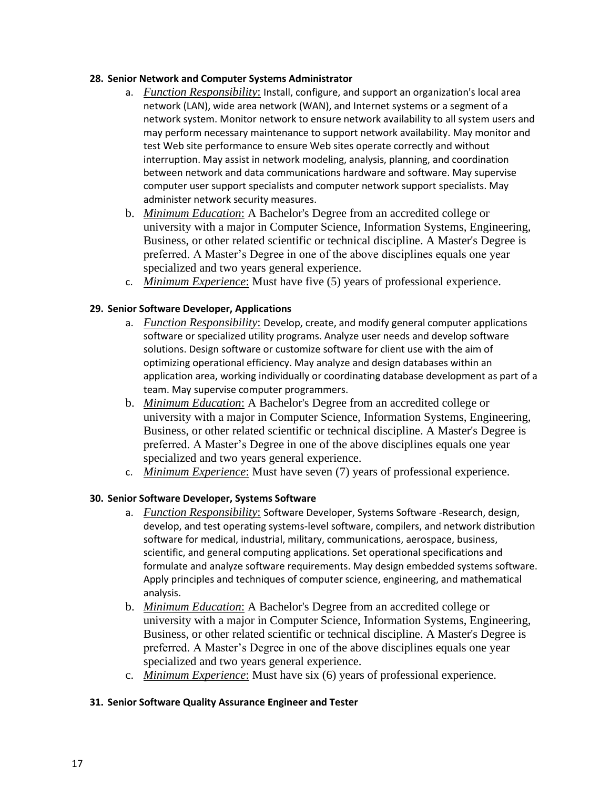#### **28. Senior Network and Computer Systems Administrator**

- a. *Function Responsibility*: Install, configure, and support an organization's local area network (LAN), wide area network (WAN), and Internet systems or a segment of a network system. Monitor network to ensure network availability to all system users and may perform necessary maintenance to support network availability. May monitor and test Web site performance to ensure Web sites operate correctly and without interruption. May assist in network modeling, analysis, planning, and coordination between network and data communications hardware and software. May supervise computer user support specialists and computer network support specialists. May administer network security measures.
- b. *Minimum Education*: A Bachelor's Degree from an accredited college or university with a major in Computer Science, Information Systems, Engineering, Business, or other related scientific or technical discipline. A Master's Degree is preferred. A Master's Degree in one of the above disciplines equals one year specialized and two years general experience.
- c. *Minimum Experience*: Must have five (5) years of professional experience.

### **29. Senior Software Developer, Applications**

- a. *Function Responsibility*: Develop, create, and modify general computer applications software or specialized utility programs. Analyze user needs and develop software solutions. Design software or customize software for client use with the aim of optimizing operational efficiency. May analyze and design databases within an application area, working individually or coordinating database development as part of a team. May supervise computer programmers.
- b. *Minimum Education*: A Bachelor's Degree from an accredited college or university with a major in Computer Science, Information Systems, Engineering, Business, or other related scientific or technical discipline. A Master's Degree is preferred. A Master's Degree in one of the above disciplines equals one year specialized and two years general experience.
- c. *Minimum Experience*: Must have seven (7) years of professional experience.

#### **30. Senior Software Developer, Systems Software**

- a. *Function Responsibility*: Software Developer, Systems Software -Research, design, develop, and test operating systems-level software, compilers, and network distribution software for medical, industrial, military, communications, aerospace, business, scientific, and general computing applications. Set operational specifications and formulate and analyze software requirements. May design embedded systems software. Apply principles and techniques of computer science, engineering, and mathematical analysis.
- b. *Minimum Education*: A Bachelor's Degree from an accredited college or university with a major in Computer Science, Information Systems, Engineering, Business, or other related scientific or technical discipline. A Master's Degree is preferred. A Master's Degree in one of the above disciplines equals one year specialized and two years general experience.
- c. *Minimum Experience*: Must have six (6) years of professional experience.

#### **31. Senior Software Quality Assurance Engineer and Tester**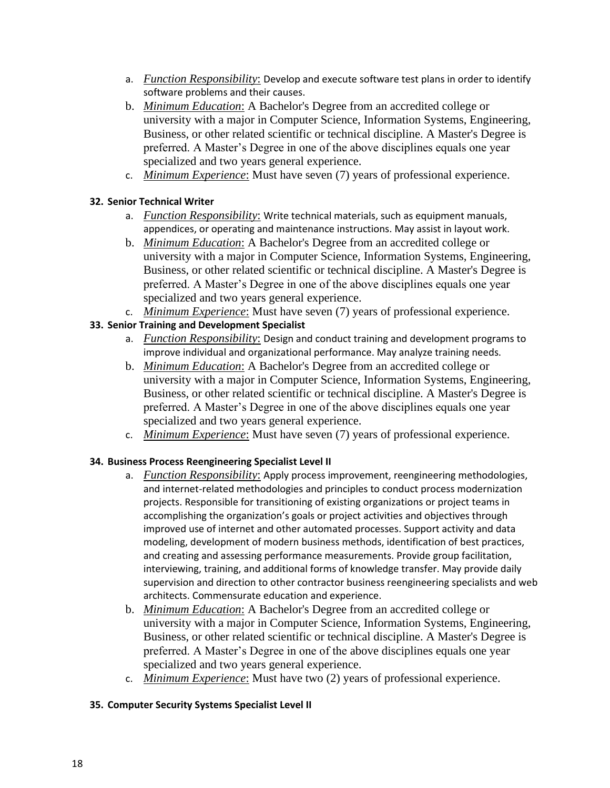- a. *Function Responsibility*: Develop and execute software test plans in order to identify software problems and their causes.
- b. *Minimum Education*: A Bachelor's Degree from an accredited college or university with a major in Computer Science, Information Systems, Engineering, Business, or other related scientific or technical discipline. A Master's Degree is preferred. A Master's Degree in one of the above disciplines equals one year specialized and two years general experience.
- c. *Minimum Experience*: Must have seven (7) years of professional experience.

## **32. Senior Technical Writer**

- a. *Function Responsibility*: Write technical materials, such as equipment manuals, appendices, or operating and maintenance instructions. May assist in layout work.
- b. *Minimum Education*: A Bachelor's Degree from an accredited college or university with a major in Computer Science, Information Systems, Engineering, Business, or other related scientific or technical discipline. A Master's Degree is preferred. A Master's Degree in one of the above disciplines equals one year specialized and two years general experience.
- c. *Minimum Experience*: Must have seven (7) years of professional experience.

# **33. Senior Training and Development Specialist**

- a. *Function Responsibility*: Design and conduct training and development programs to improve individual and organizational performance. May analyze training needs.
- b. *Minimum Education*: A Bachelor's Degree from an accredited college or university with a major in Computer Science, Information Systems, Engineering, Business, or other related scientific or technical discipline. A Master's Degree is preferred. A Master's Degree in one of the above disciplines equals one year specialized and two years general experience.
- c. *Minimum Experience*: Must have seven (7) years of professional experience.

# **34. Business Process Reengineering Specialist Level II**

- a. *Function Responsibility*: Apply process improvement, reengineering methodologies, and internet-related methodologies and principles to conduct process modernization projects. Responsible for transitioning of existing organizations or project teams in accomplishing the organization's goals or project activities and objectives through improved use of internet and other automated processes. Support activity and data modeling, development of modern business methods, identification of best practices, and creating and assessing performance measurements. Provide group facilitation, interviewing, training, and additional forms of knowledge transfer. May provide daily supervision and direction to other contractor business reengineering specialists and web architects. Commensurate education and experience.
- b. *Minimum Education*: A Bachelor's Degree from an accredited college or university with a major in Computer Science, Information Systems, Engineering, Business, or other related scientific or technical discipline. A Master's Degree is preferred. A Master's Degree in one of the above disciplines equals one year specialized and two years general experience.
- c. *Minimum Experience*: Must have two (2) years of professional experience.

## **35. Computer Security Systems Specialist Level II**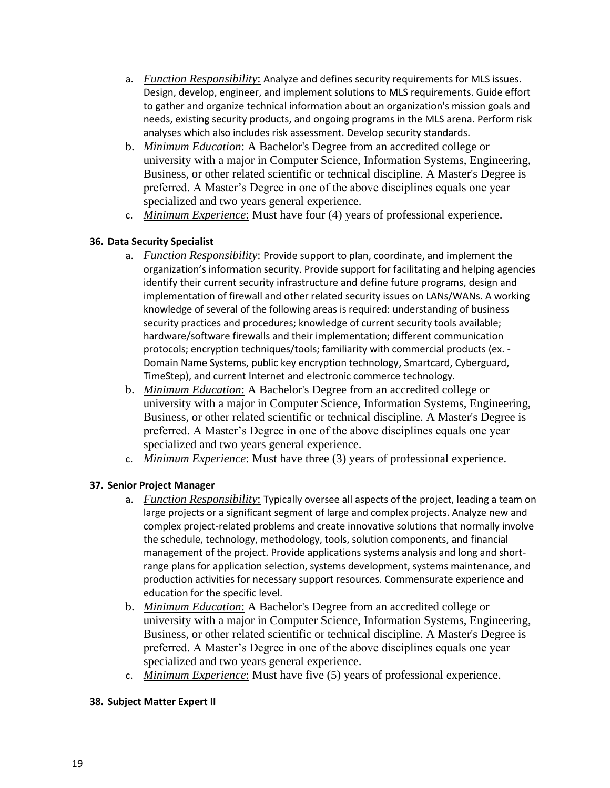- a. *Function Responsibility*: Analyze and defines security requirements for MLS issues. Design, develop, engineer, and implement solutions to MLS requirements. Guide effort to gather and organize technical information about an organization's mission goals and needs, existing security products, and ongoing programs in the MLS arena. Perform risk analyses which also includes risk assessment. Develop security standards.
- b. *Minimum Education*: A Bachelor's Degree from an accredited college or university with a major in Computer Science, Information Systems, Engineering, Business, or other related scientific or technical discipline. A Master's Degree is preferred. A Master's Degree in one of the above disciplines equals one year specialized and two years general experience.
- c. *Minimum Experience*: Must have four (4) years of professional experience.

### **36. Data Security Specialist**

- a. *Function Responsibility*: Provide support to plan, coordinate, and implement the organization's information security. Provide support for facilitating and helping agencies identify their current security infrastructure and define future programs, design and implementation of firewall and other related security issues on LANs/WANs. A working knowledge of several of the following areas is required: understanding of business security practices and procedures; knowledge of current security tools available; hardware/software firewalls and their implementation; different communication protocols; encryption techniques/tools; familiarity with commercial products (ex. - Domain Name Systems, public key encryption technology, Smartcard, Cyberguard, TimeStep), and current Internet and electronic commerce technology.
- b. *Minimum Education*: A Bachelor's Degree from an accredited college or university with a major in Computer Science, Information Systems, Engineering, Business, or other related scientific or technical discipline. A Master's Degree is preferred. A Master's Degree in one of the above disciplines equals one year specialized and two years general experience.
- c. *Minimum Experience*: Must have three (3) years of professional experience.

#### **37. Senior Project Manager**

- a. *Function Responsibility*: Typically oversee all aspects of the project, leading a team on large projects or a significant segment of large and complex projects. Analyze new and complex project-related problems and create innovative solutions that normally involve the schedule, technology, methodology, tools, solution components, and financial management of the project. Provide applications systems analysis and long and shortrange plans for application selection, systems development, systems maintenance, and production activities for necessary support resources. Commensurate experience and education for the specific level.
- b. *Minimum Education*: A Bachelor's Degree from an accredited college or university with a major in Computer Science, Information Systems, Engineering, Business, or other related scientific or technical discipline. A Master's Degree is preferred. A Master's Degree in one of the above disciplines equals one year specialized and two years general experience.
- c. *Minimum Experience*: Must have five (5) years of professional experience.

#### **38. Subject Matter Expert II**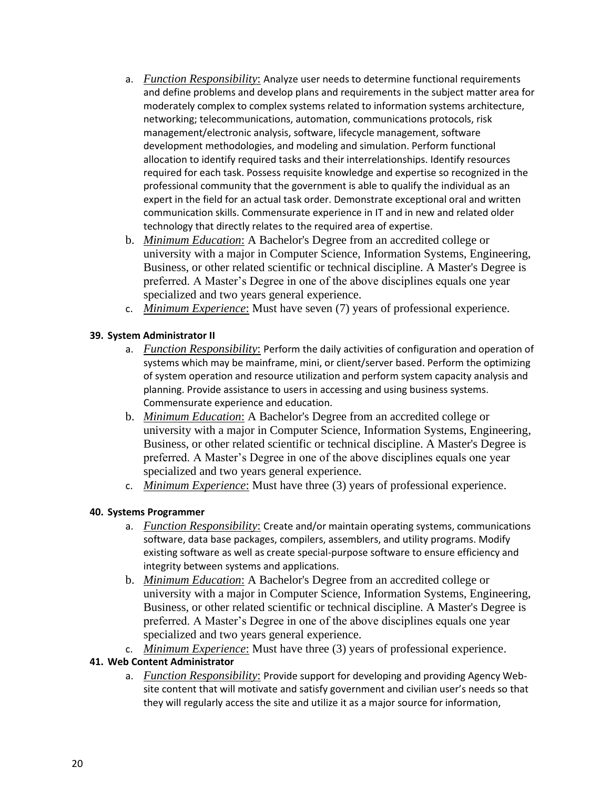- a. *Function Responsibility*: Analyze user needs to determine functional requirements and define problems and develop plans and requirements in the subject matter area for moderately complex to complex systems related to information systems architecture, networking; telecommunications, automation, communications protocols, risk management/electronic analysis, software, lifecycle management, software development methodologies, and modeling and simulation. Perform functional allocation to identify required tasks and their interrelationships. Identify resources required for each task. Possess requisite knowledge and expertise so recognized in the professional community that the government is able to qualify the individual as an expert in the field for an actual task order. Demonstrate exceptional oral and written communication skills. Commensurate experience in IT and in new and related older technology that directly relates to the required area of expertise.
- b. *Minimum Education*: A Bachelor's Degree from an accredited college or university with a major in Computer Science, Information Systems, Engineering, Business, or other related scientific or technical discipline. A Master's Degree is preferred. A Master's Degree in one of the above disciplines equals one year specialized and two years general experience.
- c. *Minimum Experience*: Must have seven (7) years of professional experience.

### **39. System Administrator II**

- a. *Function Responsibility*: Perform the daily activities of configuration and operation of systems which may be mainframe, mini, or client/server based. Perform the optimizing of system operation and resource utilization and perform system capacity analysis and planning. Provide assistance to users in accessing and using business systems. Commensurate experience and education.
- b. *Minimum Education*: A Bachelor's Degree from an accredited college or university with a major in Computer Science, Information Systems, Engineering, Business, or other related scientific or technical discipline. A Master's Degree is preferred. A Master's Degree in one of the above disciplines equals one year specialized and two years general experience.
- c. *Minimum Experience*: Must have three (3) years of professional experience.

#### **40. Systems Programmer**

- a. *Function Responsibility*: Create and/or maintain operating systems, communications software, data base packages, compilers, assemblers, and utility programs. Modify existing software as well as create special-purpose software to ensure efficiency and integrity between systems and applications.
- b. *Minimum Education*: A Bachelor's Degree from an accredited college or university with a major in Computer Science, Information Systems, Engineering, Business, or other related scientific or technical discipline. A Master's Degree is preferred. A Master's Degree in one of the above disciplines equals one year specialized and two years general experience.
- c. *Minimum Experience*: Must have three (3) years of professional experience.

#### **41. Web Content Administrator**

a. *Function Responsibility*: Provide support for developing and providing Agency Website content that will motivate and satisfy government and civilian user's needs so that they will regularly access the site and utilize it as a major source for information,